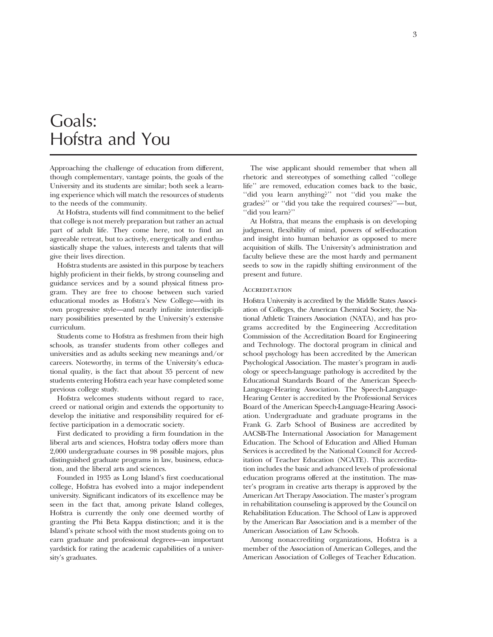## Goals: Hofstra and You

Approaching the challenge of education from different, though complementary, vantage points, the goals of the University and its students are similar; both seek a learning experience which will match the resources of students to the needs of the community.

At Hofstra, students will find commitment to the belief that college is not merely preparation but rather an actual part of adult life. They come here, not to find an agreeable retreat, but to actively, energetically and enthusiastically shape the values, interests and talents that will give their lives direction.

Hofstra students are assisted in this purpose by teachers highly proficient in their fields, by strong counseling and guidance services and by a sound physical fitness program. They are free to choose between such varied educational modes as Hofstra's New College—with its own progressive style—and nearly infinite interdisciplinary possibilities presented by the University's extensive curriculum.

Students come to Hofstra as freshmen from their high schools, as transfer students from other colleges and universities and as adults seeking new meanings and/or careers. Noteworthy, in terms of the University's educational quality, is the fact that about 35 percent of new students entering Hofstra each year have completed some previous college study.

Hofstra welcomes students without regard to race, creed or national origin and extends the opportunity to develop the initiative and responsibility required for effective participation in a democratic society.

First dedicated to providing a firm foundation in the liberal arts and sciences, Hofstra today offers more than 2,000 undergraduate courses in 98 possible majors, plus distinguished graduate programs in law, business, education, and the liberal arts and sciences.

Founded in 1935 as Long Island's first coeducational college, Hofstra has evolved into a major independent university. Significant indicators of its excellence may be seen in the fact that, among private Island colleges, Hofstra is currently the only one deemed worthy of granting the Phi Beta Kappa distinction; and it is the Island's private school with the most students going on to earn graduate and professional degrees—an important yardstick for rating the academic capabilities of a university's graduates.

The wise applicant should remember that when all rhetoric and stereotypes of something called ''college life'' are removed, education comes back to the basic, ''did you learn anything?'' not ''did you make the grades?'' or ''did you take the required courses?''—but, ''did you learn?''

At Hofstra, that means the emphasis is on developing judgment, flexibility of mind, powers of self-education and insight into human behavior as opposed to mere acquisition of skills. The University's administration and faculty believe these are the most hardy and permanent seeds to sow in the rapidly shifting environment of the present and future.

#### **ACCREDITATION**

Hofstra University is accredited by the Middle States Association of Colleges, the American Chemical Society, the National Athletic Trainers Association (NATA), and has programs accredited by the Engineering Accreditation Commission of the Accreditation Board for Engineering and Technology. The doctoral program in clinical and school psychology has been accredited by the American Psychological Association. The master's program in audiology or speech-language pathology is accredited by the Educational Standards Board of the American Speech-Language-Hearing Association. The Speech-Language-Hearing Center is accredited by the Professional Services Board of the American Speech-Language-Hearing Association. Undergraduate and graduate programs in the Frank G. Zarb School of Business are accredited by AACSB-The International Association for Management Education. The School of Education and Allied Human Services is accredited by the National Council for Accreditation of Teacher Education (NCATE). This accreditation includes the basic and advanced levels of professional education programs offered at the institution. The master's program in creative arts therapy is approved by the American Art Therapy Association. The master's program in rehabilitation counseling is approved by the Council on Rehabilitation Education. The School of Law is approved by the American Bar Association and is a member of the American Association of Law Schools.

Among nonaccrediting organizations, Hofstra is a member of the Association of American Colleges, and the American Association of Colleges of Teacher Education.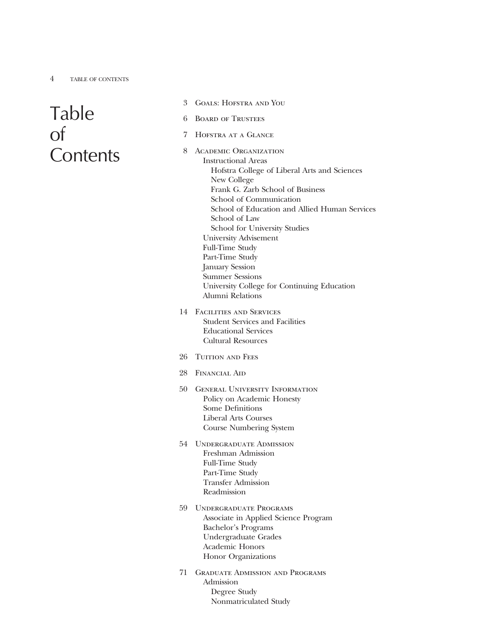# Table of **Contents**

- 3 Goals: Hofstra and You
- 6 Board of Trustees
- 7 Hofstra at a Glance
- 8 ACADEMIC ORGANIZATION Instructional Areas Hofstra College of Liberal Arts and Sciences New College Frank G. Zarb School of Business School of Communication School of Education and Allied Human Services School of Law School for University Studies University Advisement Full-Time Study Part-Time Study January Session Summer Sessions University College for Continuing Education Alumni Relations
- 14 Facilities and Services Student Services and Facilities Educational Services Cultural Resources
- 26 TUITION AND FEES
- 28 Financial Aid
- 50 General University Information Policy on Academic Honesty Some Definitions Liberal Arts Courses Course Numbering System
- 54 Undergraduate Admission Freshman Admission Full-Time Study Part-Time Study Transfer Admission Readmission
- 59 Undergraduate Programs Associate in Applied Science Program Bachelor's Programs Undergraduate Grades Academic Honors Honor Organizations
- 71 Graduate Admission and Programs Admission Degree Study Nonmatriculated Study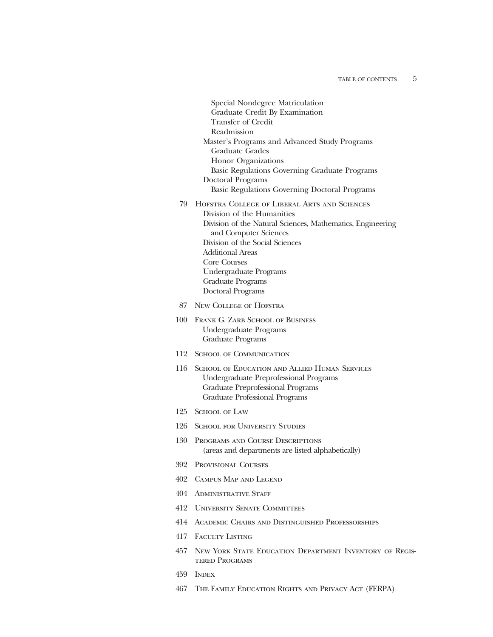Special Nondegree Matriculation Graduate Credit By Examination Transfer of Credit Readmission Master's Programs and Advanced Study Programs Graduate Grades Honor Organizations Basic Regulations Governing Graduate Programs Doctoral Programs Basic Regulations Governing Doctoral Programs 79 Hofstra College of Liberal Arts and Sciences Division of the Humanities Division of the Natural Sciences, Mathematics, Engineering and Computer Sciences Division of the Social Sciences Additional Areas Core Courses Undergraduate Programs Graduate Programs Doctoral Programs 87 New College of Hofstra 100 FRANK G. ZARB SCHOOL OF BUSINESS Undergraduate Programs Graduate Programs 112 School of Communication 116 School of Education and Allied Human Services Undergraduate Preprofessional Programs Graduate Preprofessional Programs Graduate Professional Programs

- 125 School of Law
- 126 School for University Studies
- 130 Programs and Course Descriptions (areas and departments are listed alphabetically)
- 392 Provisional Courses
- 402 Campus Map and Legend
- 404 Administrative Staff
- 412 University Senate Committees
- 414 Academic Chairs and Distinguished Professorships
- 417 FACULTY LISTING
- 457 New York State Education Department Inventory of Registered Programs
- 459 Index
- 467 The Family Education Rights and Privacy Act (FERPA)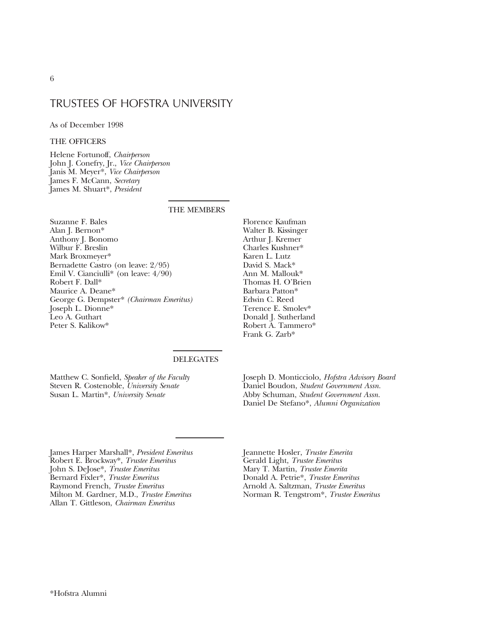### TRUSTEES OF HOFSTRA UNIVERSITY

#### As of December 1998

#### THE OFFICERS

Helene Fortunoff, *Chairperson* John J. Conefry, Jr., *Vice Chairperson* Janis M. Meyer\*, *Vice Chairperson* James F. McCann, *Secretary* James M. Shuart\*, *President*

#### THE MEMBERS

Suzanne F. Bales Alan J. Bernon\* Anthony J. Bonomo Wilbur F. Breslin Mark Broxmeyer\* Bernadette Castro (on leave: 2/95) Emil V. Cianciulli\* (on leave: 4/90) Robert F. Dall\* Maurice A. Deane\* George G. Dempster\* *(Chairman Emeritus)* Joseph L. Dionne\* Leo A. Guthart Peter S. Kalikow\*

Florence Kaufman Walter B. Kissinger Arthur J. Kremer Charles Kushner\* Karen L. Lutz David S. Mack\* Ann M. Mallouk\* Thomas H. O'Brien Barbara Patton\* Edwin C. Reed Terence E. Smolev\* Donald J. Sutherland Robert A. Tammero\* Frank G. Zarb\*

#### DELEGATES

Matthew C. Sonfield, *Speaker of the Faculty* Steven R. Costenoble, *University Senate* Susan L. Martin\*, *University Senate*

Joseph D. Monticciolo, *Hofstra Advisory Board* Daniel Boudon, *Student Government Assn.* Abby Schuman, *Student Government Assn.* Daniel De Stefano\*, *Alumni Organization*

James Harper Marshall\*, *President Emeritus* Robert E. Brockway\*, *Trustee Emeritus* John S. DeJose\*, *Trustee Emeritus* Bernard Fixler\*, *Trustee Emeritus* Raymond French, *Trustee Emeritus* Milton M. Gardner, M.D., *Trustee Emeritus* Allan T. Gittleson, *Chairman Emeritus*

Jeannette Hosler, *Trustee Emerita* Gerald Light, *Trustee Emeritus* Mary T. Martin, *Trustee Emerita* Donald A. Petrie\*, *Trustee Emeritus* Arnold A. Saltzman, *Trustee Emeritus* Norman R. Tengstrom\*, *Trustee Emeritus*